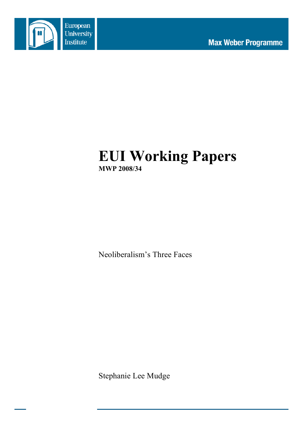

# **EUI Working Papers MWP 2008/34**

Neoliberalism's Three Faces

Stephanie Lee Mudge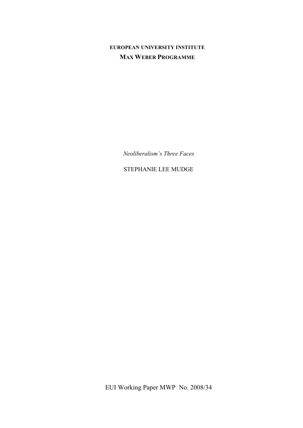# **EUROPEAN UNIVERSITY INSTITUTE MAX WEBER PROGRAMME**

*Neoliberalism's Three Faces*

STEPHANIE LEE MUDGE

EUI Working Paper MWP No. 2008/34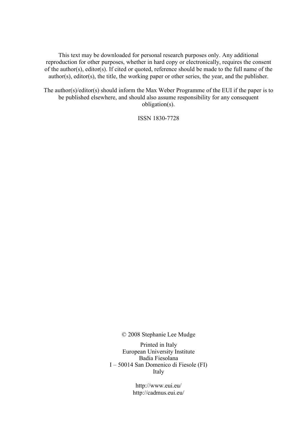This text may be downloaded for personal research purposes only. Any additional reproduction for other purposes, whether in hard copy or electronically, requires the consent of the author(s), editor(s). If cited or quoted, reference should be made to the full name of the author(s), editor(s), the title, the working paper or other series, the year, and the publisher.

The author(s)/editor(s) should inform the Max Weber Programme of the EUI if the paper is to be published elsewhere, and should also assume responsibility for any consequent obligation(s).

ISSN 1830-7728

© 2008 Stephanie Lee Mudge

Printed in Italy European University Institute Badia Fiesolana I – 50014 San Domenico di Fiesole (FI) Italy

> http://www.eui.eu/ http://cadmus.eui.eu/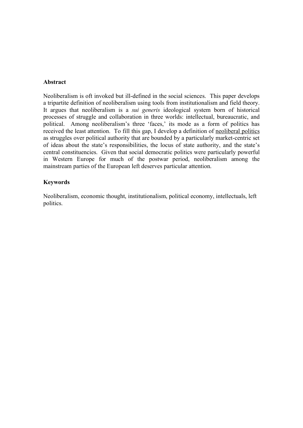#### **Abstract**

Neoliberalism is oft invoked but ill-defined in the social sciences. This paper develops a tripartite definition of neoliberalism using tools from institutionalism and field theory. It argues that neoliberalism is a *sui generis* ideological system born of historical processes of struggle and collaboration in three worlds: intellectual, bureaucratic, and political. Among neoliberalism's three 'faces,' its mode as a form of politics has received the least attention. To fill this gap, I develop a definition of neoliberal politics as struggles over political authority that are bounded by a particularly market-centric set of ideas about the state's responsibilities, the locus of state authority, and the state's central constituencies. Given that social democratic politics were particularly powerful in Western Europe for much of the postwar period, neoliberalism among the mainstream parties of the European left deserves particular attention.

#### **Keywords**

Neoliberalism, economic thought, institutionalism, political economy, intellectuals, left politics.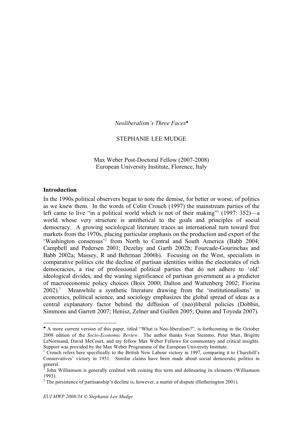*Neoliberalism's Three Faces*♣

#### STEPHANIE LEE MUDGE

Max Weber Post-Doctoral Fellow (2007-2008) European University Institute, Florence, Italy

#### **Introduction**

 $\overline{a}$ 

In the 1990s political observers began to note the demise, for better or worse, of politics as we knew them. In the words of Colin Crouch (1997) the mainstream parties of the left came to live "in a political world which is not of their making"  $(1997: 352)$ —a world whose very structure is antithetical to the goals and principles of social democracy. A growing sociological literature traces an international turn toward free markets from the 1970s, placing particular emphasis on the production and export of the 'Washington consensus'<sup>2</sup> from North to Central and South America (Babb 2004; Campbell and Pedersen 2001; Dezelay and Garth 2002b; Fourcade-Gourinchas and Babb 2002a; Massey, R and Behrman 2006b). Focusing on the West, specialists in comparative politics cite the decline of partisan identities within the electorates of rich democracies, a rise of professional political parties that do not adhere to 'old' ideological divides, and the waning significance of partisan government as a predictor of macroeconomic policy choices (Boix 2000; Dalton and Wattenberg 2002; Fiorina  $2002$ ).<sup>3</sup> Meanwhile a synthetic literature drawing from the 'institutionalisms' in economics, political science, and sociology emphasizes the global spread of ideas as a central explanatory factor behind the diffusion of (neo)liberal policies (Dobbin, Simmons and Garrett 2007; Henisz, Zelner and Guillen 2005; Quinn and Toyoda 2007).

<sup>♣</sup> A more current version of this paper, titled "What is Neo-liberalism?", is forthcoming in the October 2008 edition of the *Socio-Economic Review.* The author thanks Sven Steinmo, Peter Mair, Brigitte LeNormand, David McCourt, and my fellow Max Weber Fellows for commentary and critical insights. Support was provided by the Max Weber Programme of the European University Institute.  $1$ <sup>1</sup> Crouch refers here specifically to the British New Labour victory in 1997, comparing it to Churchill's

Conservatives' victory in 1951. Similar claims have been made about social democratic politics in

general.<br><sup>2</sup> John Williamson is generally credited with coining this term and delineating its elements (Williamson

<sup>1993).&</sup>lt;br><sup>3</sup> The persistence of partisanship's decline is, however, a matter of dispute (Hetherington 2001).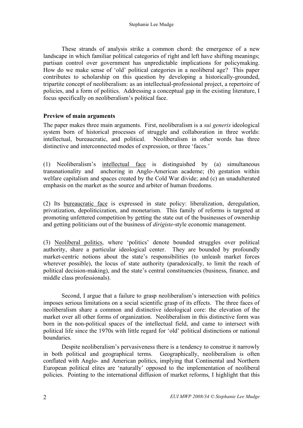These strands of analysis strike a common chord: the emergence of a new landscape in which familiar political categories of right and left have shifting meanings; partisan control over government has unpredictable implications for policymaking. How do we make sense of 'old' political categories in a neoliberal age? This paper contributes to scholarship on this question by developing a historically-grounded, tripartite concept of neoliberalism: as an intellectual-professional project, a repertoire of policies, and a form of politics. Addressing a conceptual gap in the existing literature, I focus specifically on neoliberalism's political face.

### **Preview of main arguments**

The paper makes three main arguments. First, neoliberalism is a *sui generis* ideological system born of historical processes of struggle and collaboration in three worlds: intellectual, bureaucratic, and political. Neoliberalism in other words has three distinctive and interconnected modes of expression, or three 'faces.'

(1) Neoliberalism's intellectual face is distinguished by (a) simultaneous transnationality and anchoring in Anglo-American academe; (b) gestation within welfare capitalism and spaces created by the Cold War divide; and (c) an unadulterated emphasis on the market as the source and arbiter of human freedoms.

(2) Its bureaucratic face is expressed in state policy: liberalization, deregulation, privatization, depoliticization, and monetarism. This family of reforms is targeted at promoting unfettered competition by getting the state out of the businesses of ownership and getting politicians out of the business of *dirigiste*-style economic management.

(3) Neoliberal politics, where 'politics' denote bounded struggles over political authority, share a particular ideological center. They are bounded by profoundly market-centric notions about the state's responsibilities (to unleash market forces wherever possible), the locus of state authority (paradoxically, to limit the reach of political decision-making), and the state's central constituencies (business, finance, and middle class professionals).

Second, I argue that a failure to grasp neoliberalism's intersection with politics imposes serious limitations on a social scientific grasp of its effects. The three faces of neoliberalism share a common and distinctive ideological core: the elevation of the market over all other forms of organization. Neoliberalism in this distinctive form was born in the non-political spaces of the intellectual field, and came to intersect with political life since the 1970s with little regard for 'old' political distinctions or national boundaries.

Despite neoliberalism's pervasiveness there is a tendency to construe it narrowly in both political and geographical terms. Geographically, neoliberalism is often conflated with Anglo- and American politics, implying that Continental and Northern European political elites are 'naturally' opposed to the implementation of neoliberal policies. Pointing to the international diffusion of market reforms, I highlight that this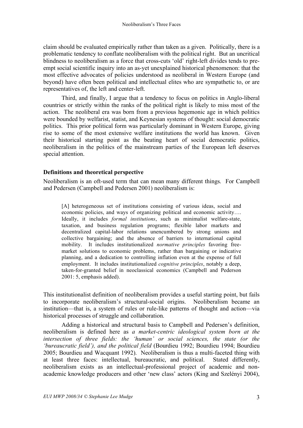claim should be evaluated empirically rather than taken as a given. Politically, there is a problematic tendency to conflate neoliberalism with the political right. But an uncritical blindness to neoliberalism as a force that cross-cuts 'old' right-left divides tends to preempt social scientific inquiry into an as-yet unexplained historical phenomenon: that the most effective advocates of policies understood as neoliberal in Western Europe (and beyond) have often been political and intellectual elites who are sympathetic to, or are representatives of, the left and center-left.

Third, and finally, I argue that a tendency to focus on politics in Anglo-liberal countries or strictly within the ranks of the political right is likely to miss most of the action. The neoliberal era was born from a previous hegemonic age in which politics were bounded by welfarist, statist, and Keynesian systems of thought: social democratic politics. This prior political form was particularly dominant in Western Europe, giving rise to some of the most extensive welfare institutions the world has known. Given their historical starting point as the beating heart of social democratic politics, neoliberalism in the politics of the mainstream parties of the European left deserves special attention.

# **Definitions and theoretical perspective**

Neoliberalism is an oft-used term that can mean many different things. For Campbell and Pedersen (Campbell and Pedersen 2001) neoliberalism is:

[A] heterogeneous set of institutions consisting of various ideas, social and economic policies, and ways of organizing political and economic activity…. Ideally, it includes *formal institutions*, such as minimalist welfare-state, taxation, and business regulation programs; flexible labor markets and decentralized capital-labor relations unencumbered by strong unions and collective bargaining; and the absence of barriers to international capital mobility. It includes institutionalized *normative principles* favoring freemarket solutions to economic problems, rather than bargaining or indicative planning, and a dedication to controlling inflation even at the expense of full employment. It includes institutionalized *cognitive principles*, notably a deep, taken-for-granted belief in neoclassical economics (Campbell and Pederson 2001: 5, emphasis added).

This institutionalist definition of neoliberalism provides a useful starting point, but fails to incorporate neoliberalism's structural-social origins. Neoliberalism became an institution—that is, a system of rules or rule-like patterns of thought and action—via historical processes of struggle and collaboration.

Adding a historical and structural basis to Campbell and Pedersen's definition, neoliberalism is defined here as *a market-centric ideological system born at the intersection of three fields: the 'human' or social sciences, the state (or the 'bureaucratic field'), and the political field* (Bourdieu 1992; Bourdieu 1994; Bourdieu 2005; Bourdieu and Wacquant 1992). Neoliberalism is thus a multi-faceted thing with at least three faces: intellectual, bureaucratic, and political. Stated differently, neoliberalism exists as an intellectual-professional project of academic and nonacademic knowledge producers and other 'new class' actors (King and Szelényi 2004),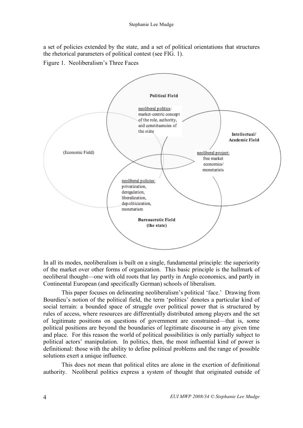a set of policies extended by the state, and a set of political orientations that structures the rhetorical parameters of political contest (see FIG. 1).

Figure 1. Neoliberalism's Three Faces



In all its modes, neoliberalism is built on a single, fundamental principle: the superiority of the market over other forms of organization. This basic principle is the hallmark of neoliberal thought—one with old roots that lay partly in Anglo economics, and partly in Continental European (and specifically German) schools of liberalism.

This paper focuses on delineating neoliberalism's political 'face.' Drawing from Bourdieu's notion of the political field, the term 'politics' denotes a particular kind of social terrain: a bounded space of struggle over political power that is structured by rules of access, where resources are differentially distributed among players and the set of legitimate positions on questions of government are constrained—that is, some political positions are beyond the boundaries of legitimate discourse in any given time and place. For this reason the world of political possibilities is only partially subject to political actors' manipulation. In politics, then, the most influential kind of power is definitional: those with the ability to define political problems and the range of possible solutions exert a unique influence.

This does not mean that political elites are alone in the exertion of definitional authority. Neoliberal politics express a system of thought that originated outside of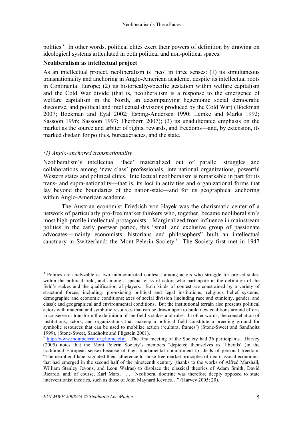politics. <sup>4</sup> In other words, political elites exert their powers of definition by drawing on ideological systems articulated in both political and non-political spaces.

### **Neoliberalism as intellectual project**

As an intellectual project, neoliberalism is 'neo' in three senses: (1) its simultaneous transnationality and anchoring in Anglo-American academe, despite its intellectual roots in Continental Europe; (2) its historically-specific gestation within welfare capitalism and the Cold War divide (that is, neoliberalism is a response to the emergence of welfare capitalism in the North, an accompanying hegemonic social democratic discourse, and political and intellectual divisions produced by the Cold War) (Bockman 2007; Bockman and Eyal 2002; Esping-Andersen 1990; Lemke and Marks 1992; Sassoon 1996; Sassoon 1997; Therborn 2007); (3) its unadulterated emphasis on the market as the source and arbiter of rights, rewards, and freedoms—and, by extension, its marked disdain for politics, bureaucracies, and the state.

# *(1) Anglo-anchored transnationality*

Neoliberalism's intellectual 'face' materialized out of parallel struggles and collaborations among 'new class' professionals, international organizations, powerful Western states and political elites. Intellectual neoliberalism is remarkable in part for its trans- and supra-nationality—that is, its loci in activities and organizational forms that lay beyond the boundaries of the nation-state—and for its geographical anchoring within Anglo-American academe.

The Austrian economist Friedrich von Hayek was the charismatic center of a network of particularly pro-free market thinkers who, together, became neoliberalism's most high-profile intellectual protagonists. Marginalized from influence in mainstream politics in the early postwar period, this "small and exclusive group of passionate advocates—mainly economists, historians and philosophers" built an intellectual sanctuary in Switzerland: the Mont Pelerin Society.<sup>5</sup> The Society first met in 1947

<sup>&</sup>lt;sup>4</sup> Politics are analyzable as two interconnected contests: among actors who struggle for pre-set stakes within the political field, and among a special class of actors who participate in the definition of the field's stakes and the qualification of players. Both kinds of contest are constrained by a variety of structural forces, including: pre-existing political and legal institutions; religious belief systems; demographic and economic conditions; axes of social division (including race and ethnicity, gender, and class); and geographical and environmental conditions. But the institutional terrain also presents political actors with material and symbolic resources that can be drawn upon to build new coalitions around efforts to conserve or transform the definition of the field's stakes and rules. In other words, the constellation of institutions, actors, and organizations that makeup a political field constitute a breeding ground for symbolic resources that can be used to mobilize action ('cultural frames') (Stone-Sweet and Sandholtz 1999). (Stone-Sweet, Sandholtz and Fligstein 2001).

 $<sup>5</sup>$  http://www.montpelerin.org/home.cfm. The first meeting of the Society had 36 participants. Harvey</sup> (2005) notes that the Mont Pelerin Society's members "depicted themselves as 'liberals' (in the traditional European sense) because of their fundamental commitment to ideals of personal freedom. "The neoliberal label signaled their adherence to those free market principles of neo-classical economics that had emerged in the second half of the nineteenth century (thanks to the works of Alfred Marshall, William Stanley Jevons, and Leon Walras) to displace the classical theories of Adam Smith, David Ricardo, and, of course, Karl Marx. … Neoliberal doctrine was therefore deeply opposed to state interventionist theories, such as those of John Maynard Keynes…" (Harvey 2005: 20).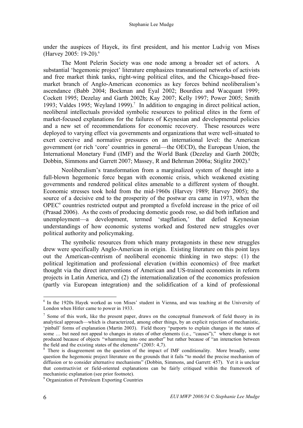under the auspices of Hayek, its first president, and his mentor Ludvig von Mises (Harvey 2005: 19-20). 6

The Mont Pelerin Society was one node among a broader set of actors. A substantial 'hegemonic project' literature emphasizes transnational networks of activists and free market think tanks, right-wing political elites, and the Chicago-based freemarket branch of Anglo-American economics as key forces behind neoliberalism's ascendance (Babb 2004; Bockman and Eyal 2002; Bourdieu and Wacquant 1999; Cockett 1995; Dezelay and Garth 2002b; Kay 2007; Kelly 1997; Power 2005; Smith 1993; Valdes 1995; Weyland 1999). <sup>7</sup> In addition to engaging in direct political action, neoliberal intellectuals provided symbolic resources to political elites in the form of market-focused explanations for the failures of Keynesian and developmental policies and a new set of recommendations for economic recovery. These resources were deployed to varying effect via governments and organizations that were well-situated to exert coercive and normative pressures on an international level: the American government (or rich 'core' countries in general—the OECD), the European Union, the International Monetary Fund (IMF) and the World Bank (Dezelay and Garth 2002b; Dobbin, Simmons and Garrett 2007; Massey, R and Behrman 2006a; Stiglitz 2002). 8

Neoliberalism's transformation from a marginalized system of thought into a full-blown hegemonic force began with economic crisis, which weakened existing governments and rendered political elites amenable to a different system of thought. Economic stresses took hold from the mid-1960s (Harvey 1989; Harvey 2005); the source of a decisive end to the prosperity of the postwar era came in 1973, when the OPEC9 countries restricted output and prompted a fivefold increase in the price of oil (Prasad 2006). As the costs of producing domestic goods rose, so did both inflation and unemployment—a development, termed 'stagflation,' that defied Keynesian understandings of how economic systems worked and fostered new struggles over political authority and policymaking.

The symbolic resources from which many protagonists in these new struggles drew were specifically Anglo-American in origin. Existing literature on this point lays out the American-centrism of neoliberal economic thinking in two steps: (1) the political legitimation and professional elevation (within economics) of free market thought via the direct interventions of American and US-trained economists in reform projects in Latin America, and (2) the internationalization of the economics profession (partly via European integration) and the solidification of a kind of professional

<sup>&</sup>lt;sup>6</sup> In the 1920s Hayek worked as von Mises' student in Vienna, and was teaching at the University of London when Hitler came to power in 1933.

 $<sup>7</sup>$  Some of this work, like the present paper, draws on the conceptual framework of field theory in its</sup> analytical approach—which is characterized, among other things, by an explicit rejection of mechanistic, 'pinball' forms of explanation (Martin 2003). Field theory "purports to explain changes in the states of some … but need not appeal to changes in states of other elements (i.e., "causes")," where change is not produced because of objects "whamming into one another" but rather because of "an interaction between the field and the existing states of the elements"  $(2003: 4, 7)$ .<br><sup>8</sup> There is disagreement on the question of the impact of IMF conditionality. More broadly, some

question the hegemonic project literature on the grounds that it fails "to model the precise mechanism of diffusion or to consider alternative mechanisms" (Dobbin, Simmons, and Garrett: 457). Yet it is unclear that constructivist or field-oriented explanations can be fairly critiqued within the framework of

 $9$  Organization of Petroleum Exporting Countries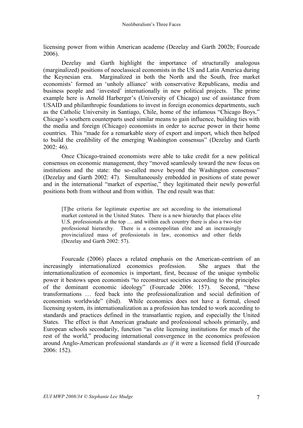licensing power from within American academe (Dezelay and Garth 2002b; Fourcade 2006).

Dezelay and Garth highlight the importance of structurally analogous (marginalized) positions of neoclassical economists in the US and Latin America during the Keynesian era. Marginalized in both the North and the South, free market economists' formed an 'unholy alliance' with conservative Republicans, media and business people and 'invested' internationally in new political projects. The prime example here is Arnold Harberger's (University of Chicago) use of assistance from USAID and philanthropic foundations to invest in foreign economics departments, such as the Catholic University in Santiago, Chile, home of the infamous "Chicago Boys." Chicago's southern counterparts used similar means to gain influence, building ties with the media and foreign (Chicago) economists in order to accrue power in their home countries. This "made for a remarkable story of export and import, which then helped to build the credibility of the emerging Washington consensus" (Dezelay and Garth 2002: 46).

Once Chicago-trained economists were able to take credit for a new political consensus on economic management, they "moved seamlessly toward the new focus on institutions and the state: the so-called move beyond the Washington consensus" (Dezelay and Garth 2002: 47). Simultaneously embedded in positions of state power and in the international "market of expertise," they legitimated their newly powerful positions both from without and from within. The end result was that:

[T]he criteria for legitimate expertise are set according to the international market centered in the United States. There is a new hierarchy that places elite U.S. professionals at the top … and within each country there is also a two-tier professional hierarchy. There is a cosmopolitan elite and an increasingly provincialized mass of professionals in law, economics and other fields (Dezelay and Garth 2002: 57).

Fourcade (2006) places a related emphasis on the American-centrism of an increasingly internationalized economics profession. She argues that the internationalization of economics is important, first, because of the unique symbolic power it bestows upon economists "to reconstruct societies according to the principles of the dominant economic ideology" (Fourcade 2006: 157). Second, "these transformations … feed back into the professionalization and social definition of economists worldwide" (ibid). While economics does not have a formal, closed licensing system, its internationalization as a profession has tended to work according to standards and practices defined in the transatlantic region, and especially the United States. The effect is that American graduate and professional schools primarily, and European schools secondarily, function "as elite licensing institutions for much of the rest of the world," producing international convergence in the economics profession around Anglo-American professional standards *as if* it were a licensed field (Fourcade 2006: 152).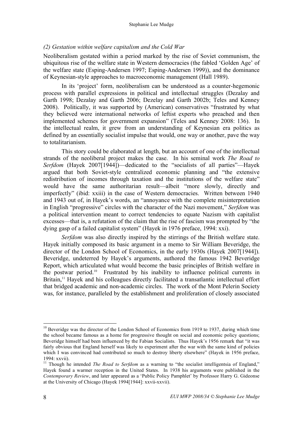## *(2) Gestation within welfare capitalism and the Cold War*

Neoliberalism gestated within a period marked by the rise of Soviet communism, the ubiquitous rise of the welfare state in Western democracies (the fabled 'Golden Age' of the welfare state (Esping-Andersen 1997; Esping-Andersen 1999)), and the dominance of Keynesian-style approaches to macroeconomic management (Hall 1989).

In its 'project' form, neoliberalism can be understood as a counter-hegemonic process with parallel expressions in political and intellectual struggles (Dezalay and Garth 1998; Dezalay and Garth 2006; Dezelay and Garth 2002b; Teles and Kenney 2008). Politically, it was supported by (American) conservatives "frustrated by what they believed were international networks of leftist experts who preached and then implemented schemes for government expansion" (Teles and Kenney 2008: 136). In the intellectual realm, it grew from an understanding of Keynesian era politics as defined by an essentially socialist impulse that would, one way or another, pave the way to totalitarianism.

This story could be elaborated at length, but an account of one of the intellectual strands of the neoliberal project makes the case. In his seminal work *The Road to Serfdom* (Hayek 2007[1944])—dedicated to the "socialists of all parties"—Hayek argued that both Soviet-style centralized economic planning and "the extensive redistribution of incomes through taxation and the institutions of the welfare state" would have the same authoritarian result—albeit "more slowly, directly and imperfectly" (ibid: xxiii) in the case of Western democracies. Written between 1940 and 1943 out of, in Hayek's words, an "annoyance with the complete misinterpretation in English "progressive" circles with the character of the Nazi movement," *Serfdom* was a political intervention meant to correct tendencies to equate Nazism with capitalist excesses—that is, a refutation of the claim that the rise of fascism was prompted by "the dying gasp of a failed capitalist system" (Hayek in 1976 preface, 1994: xxi).

*Serfdom* was also directly inspired by the stirrings of the British welfare state. Hayek initially composed its basic argument in a memo to Sir William Beveridge, the director of the London School of Economics, in the early 1930s (Hayek 2007[1944]). Beveridge, undeterred by Hayek's arguments, authored the famous 1942 Beveridge Report, which articulated what would become the basic principles of British welfare in the postwar period.10 Frustrated by his inability to influence political currents in Britain,<sup>11</sup> Hayek and his colleagues directly facilitated a transatlantic intellectual effort that bridged academic and non-academic circles. The work of the Mont Pelerin Society was, for instance, paralleled by the establishment and proliferation of closely associated

<sup>&</sup>lt;sup>10</sup> Beveridge was the director of the London School of Economics from 1919 to 1937, during which time the school became famous as a home for progressive thought on social and economic policy questions; Beveridge himself had been influenced by the Fabian Socialists. Thus Hayek's 1956 remark that "it was fairly obvious that England herself was likely to experiment after the war with the same kind of policies which I was convinced had contributed so much to destroy liberty elsewhere" (Hayek in 1956 preface, 1994: xxvii). <sup>11</sup> Though he intended *The Road to Serfdom* as <sup>a</sup> warning to "the socialist intelligentsia of England,"

Hayek found a warmer reception in the United States. In 1938 his arguments were published in the *Contemporary Review*, and later appeared as a 'Public Policy Pamphlet' by Professor Harry G. Gideonse at the University of Chicago (Hayek 1994[1944]: xxvii-xxvii).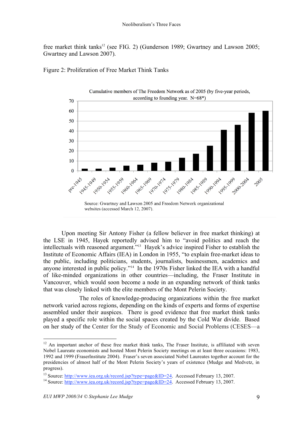free market think tanks<sup>12</sup> (see FIG. 2) (Gunderson 1989; Gwartney and Lawson 2005; Gwartney and Lawson 2007).



Figure 2: Proliferation of Free Market Think Tanks

Upon meeting Sir Antony Fisher (a fellow believer in free market thinking) at the LSE in 1945, Hayek reportedly advised him to "avoid politics and reach the intellectuals with reasoned argument."13 Hayek's advice inspired Fisher to establish the Institute of Economic Affairs (IEA) in London in 1955, "to explain free-market ideas to the public, including politicians, students, journalists, businessmen, academics and anyone interested in public policy."14 In the 1970s Fisher linked the IEA with a handful of like-minded organizations in other countries—including, the Fraser Institute in Vancouver, which would soon become a node in an expanding network of think tanks that was closely linked with the elite members of the Mont Pelerin Society.

The roles of knowledge-producing organizations within the free market network varied across regions, depending on the kinds of experts and forms of expertise assembled under their auspices. There is good evidence that free market think tanks played a specific role within the social spaces created by the Cold War divide. Based on her study of the Center for the Study of Economic and Social Problems (CESES—a

<sup>&</sup>lt;sup>12</sup> An important anchor of these free market think tanks, The Fraser Institute, is affiliated with seven Nobel Laureate economists and hosted Mont Pelerin Society meetings on at least three occasions: 1983, 1992 and 1999 (FraserInstitute 2004). Fraser's seven associated Nobel Laureates together account for the presidencies of almost half of the Mont Pelerin Society's years of existence (Mudge and Medvetz, in progress).

<sup>&</sup>lt;sup>13</sup> Source: http://www.iea.org.uk/record.jsp?type=page&ID=24. Accessed February 13, 2007.<br><sup>14</sup> Source: http://www.iea.org.uk/record.jsp?type=page&ID=24. Accessed February 13, 2007.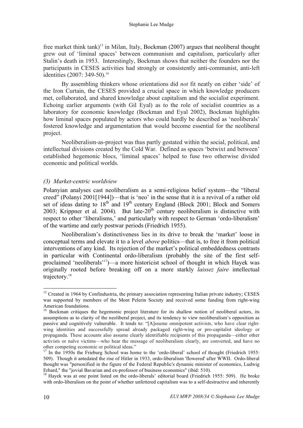free market think tank)<sup>15</sup> in Milan, Italy, Bockman (2007) argues that neoliberal thought grew out of 'liminal spaces' between communism and capitalism, particularly after Stalin's death in 1953. Interestingly, Bockman shows that neither the founders nor the participants in CESES activities had strongly or consistently anti-communist, anti-left identities (2007: 349-50). 16

By assembling thinkers whose orientations did *not* fit neatly on either 'side' of the Iron Curtain, the CESES provided a crucial space in which knowledge producers met, collaborated, and shared knowledge about capitalism and the socialist experiment. Echoing earlier arguments (with Gil Eyal) as to the role of socialist countries as a laboratory for economic knowledge (Bockman and Eyal 2002), Bockman highlights how liminal spaces populated by actors who could hardly be described as 'neoliberals' fostered knowledge and argumentation that would become essential for the neoliberal project.

Neoliberalism-as-project was thus partly gestated within the social, political, and intellectual divisions created by the Cold War. Defined as spaces 'betwixt and between' established hegemonic blocs, 'liminal spaces' helped to fuse two otherwise divided economic and political worlds.

# *(3) Market-centric worldview*

Polanyian analyses cast neoliberalism as a semi-religious belief system—the "liberal creed" (Polanyi 2001[1944])—that is 'neo' in the sense that it is a revival of a rather old set of ideas dating to  $18<sup>th</sup>$  and  $19<sup>th</sup>$  century England (Block 2001; Block and Somers 2003; Krippner et al. 2004). But late- $20<sup>th</sup>$  century neoliberalism is distinctive with respect to other 'liberalisms,' and particularly with respect to German 'ordo-liberalism' of the wartime and early postwar periods (Friedrich 1955).

Neoliberalism's distinctiveness lies in its drive to break the 'market' loose in conceptual terms and elevate it to a level *above* politics—that is, to free it from political interventions of any kind. Its rejection of the market's political embeddedness contrasts in particular with Continental ordo-liberalism (probably the site of the first selfproclaimed 'neoliberals' 17 )—a more historicist school of thought in which Hayek was originally rooted before breaking off on a more starkly *laissez faire* intellectual trajectory.<sup>18</sup>

<sup>&</sup>lt;sup>15</sup> Created in 1964 by Confindustria, the primary association representing Italian private industry; CESES was supported by members of the Mont Pelerin Society and received some funding from right-wing

American foundations.<br><sup>16</sup> Bockman critiques the hegemonic project literature for its shallow notion of neoliberal actors, its assumptions as to clarity of the neoliberal project, and its tendency to view neoliberalism's opposition as passive and cognitively vulnerable. It tends to: "[A]ssume omnipotent activists, who have clear rightwing identities and successfully spread already packaged right-wing or pro-capitalist ideology or propaganda. These accounts also assume clearly identifiable recipients of this propaganda—either other activists or naïve victims—who hear the message of neoliberalism clearly, are converted, and have no other competing economic or political ideas."<br><sup>17</sup> In the 1950s the Frieburg School was home to the 'ordo-liberal' school of thought (Friedrich 1955:

<sup>509).</sup> Though it antedated the rise of Hitler in 1933, ordo-liberalism 'flowered' after WWII. Ordo-liberal thought was "personified in the figure of the Federal Republic's dynamic minister of economics, Ludwig Erhard," the "jovial Bavarian and ex-professor of business economics" (ibid: 510).<br><sup>18</sup> Hayek was at one point listed on the ordo-liberals' editorial board (Friedrich 1955: 509). He broke

with ordo-liberalism on the point of whether unfettered capitalism was to a self-destructive and inherently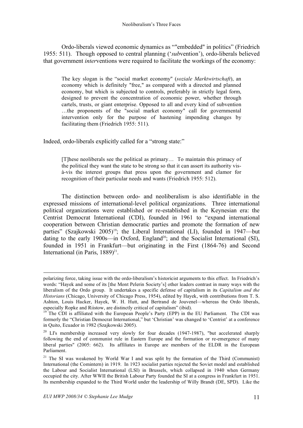Ordo-liberals viewed economic dynamics as ""embedded" in politics" (Friedrich 1955: 511). Though opposed to central planning ('*sub*vention'), ordo-liberals believed that government *inter*ventions were required to facilitate the workings of the economy:

The key slogan is the "social market economy'' (*soziale Marktwirtschaft*), an economy which is definitely "free," as compared with a directed and planned economy, but which is subjected to controls, preferably in strictly legal form, designed to prevent the concentration of economic power, whether through cartels, trusts, or giant enterprise. Opposed to all and every kind of subvention …the proponents of the "social market economy" call for governmental intervention only for the purpose of hastening impending changes by facilitating them (Friedrich 1955: 511).

Indeed, ordo-liberals explicitly called for a "strong state:"

[T]hese neoliberals see the political as primary… To maintain this primacy of the political they want the state to be strong so that it can assert its authority visà-vis the interest groups that press upon the government and clamor for recognition of their particular needs and wants (Friedrich 1955: 512).

The distinction between ordo- and neoliberalism is also identifiable in the expressed missions of international-level political organizations. Three international political organizations were established or re-established in the Keynesian era: the Centrist Democrat International (CDI), founded in 1961 to "expand international cooperation between Christian democratic parties and promote the formation of new parties" (Szajkowski 2005)<sup>19</sup>; the Liberal International (LI), founded in 1947—but dating to the early 1900s—in Oxford, England<sup>20</sup>; and the Socialist International (SI), founded in 1951 in Frankfurt—but originating in the First (1864-76) and Second International (in Paris,  $1889)^{21}$ .

polarizing force, taking issue with the ordo-liberalism's historicist arguments to this effect. In Friedrich's words: "Hayek and some of its [the Mont Pelerin Society's] other leaders contrast in many ways with the liberalism of the Ordo group. It undertakes a specific defense of capitalism in its *Capitalism and the Historians* (Chicago, University of Chicago Press, 1954), edited by Hayek, with contributions from T. S. Ashton, Louis Hacker, Hayek, W. H. Hutt, and Bertrand de Jouvenel—whereas the Ordo liberals,

especially Ropke and Riistow, are distinctly critical of capitalism" (ibid).<br><sup>19</sup> The CDI is affiliated with the European People's Party (EPP) in the EU Parliament. The CDI was formerly the "Christian Democrat International," but 'Christian' was changed to 'Centrist' at a conference in Quito, Ecuador in 1982 (Szajkowski 2005).

<sup>&</sup>lt;sup>20</sup> LI's membership increased very slowly for four decades (1947-1987), "but accelerated sharply following the end of communist rule in Eastern Europe and the formation or re-emergence of many liberal parties" (2005: 662). Its affiliates in Europe are members of the ELDR in the European Parliament.

<sup>&</sup>lt;sup>21</sup> The SI was weakened by World War I and was split by the formation of the Third (Communist) International (the Comintern) in 1919. In 1923 socialist parties rejected the Soviet model and established the Labour and Socialist International (LSI) in Brussels, which collapsed in 1940 when Germany occupied the city. After WWII the British Labour Party founded the SI at a congress in Frankfurt in 1951. Its membership expanded to the Third World under the leadership of Willy Brandt (DE, SPD). Like the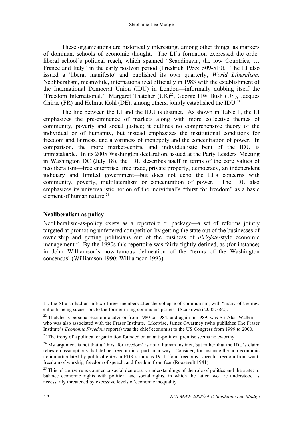These organizations are historically interesting, among other things, as markers of dominant schools of economic thought. The LI's formation expressed the ordoliberal school's political reach, which spanned "Scandinavia, the low Countries, … France and Italy" in the early postwar period (Friedrich 1955: 509-510)*.* The LI also issued a 'liberal manifesto' and published its own quarterly, *World Liberalism.* Neoliberalism, meanwhile, internationalized officially in 1983 with the establishment of the International Democrat Union (IDU) in London—informally dubbing itself the 'Freedom International.' Margaret Thatcher (UK)<sup>22</sup>, George HW Bush (US), Jacques Chirac (FR) and Helmut Köhl (DE), among others, jointly established the IDU.<sup>23</sup>

The line between the LI and the IDU is distinct. As shown in Table 1, the LI emphasizes the pre-eminence of markets along with more collective themes of community, poverty and social justice; it outlines no comprehensive theory of the individual or of humanity, but instead emphasizes the institutional conditions for freedom and fairness, and a wariness of monopoly and the concentration of power. In comparison, the more market-centric and individualistic bent of the IDU is unmistakable. In its 2005 Washington declaration, issued at the Party Leaders' Meeting in Washington DC (July 18), the IDU describes itself in terms of the core values of neoliberalism—free enterprise, free trade, private property, democracy, an independent judiciary and limited government—but does not echo the LI's concerns with community, poverty, multilateralism or concentration of power. The IDU also emphasizes its universalistic notion of the individual's "thirst for freedom" as a basic element of human nature. 24

#### **Neoliberalism as policy**

Neoliberalism-as-policy exists as a repertoire or package—a set of reforms jointly targeted at promoting unfettered competition by getting the state out of the businesses of ownership and getting politicians out of the business of *dirigiste*-style economic management.<sup>25</sup> By the 1990s this repertoire was fairly tightly defined, as (for instance) in John Williamson's now-famous delineation of the 'terms of the Washington consensus' (Williamson 1990; Williamson 1993).

LI, the SI also had an influx of new members after the collapse of communism, with "many of the new entrants being successors to the former ruling communist parties" (Szajkowski 2005: 662).

 $22$  Thatcher's personal economic advisor from 1980 to 1984, and again in 1989, was Sir Alan Walters who was also associated with the Fraser Institute. Likewise, James Gwartney (who publishes The Fraser Institute's *Economic Freedom* reports) was the chief economist to the US Congress from 1999 to 2000.

<sup>&</sup>lt;sup>23</sup> The irony of a political organization founded on an anti-political premise seems noteworthy.

 $24$  My argument is not that a 'thirst for freedom' is not a human instinct, but rather that the IDU's claim relies on assumptions that define freedom in a particular way. Consider, for instance the non-economic notion articulated by political elites in FDR's famous 1941 'four freedoms' speech: freedom from want, freedom of worship, freedom of speech, and freedom from fear (Roosevelt 1941).

 $^{25}$  This of course runs counter to social democratic understandings of the role of politics and the state: to balance economic rights with political and social rights, in which the latter two are understood as necessarily threatened by excessive levels of economic inequality.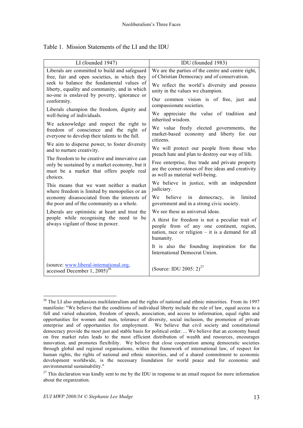| LI (founded 1947)                                                                                                                                                                                                                                                                                                                                                                                                                                                                                                                                                                                                                                                                                                                                                                                                                                                                                                                                                                                                                                | IDU (founded 1983)                                                                                                                                                                                                                                                                                                                                                                                                                                                                                                                                                                                                                                                                                                                                                                                                                                                                                                                                                                                                                                                                                                                  |  |
|--------------------------------------------------------------------------------------------------------------------------------------------------------------------------------------------------------------------------------------------------------------------------------------------------------------------------------------------------------------------------------------------------------------------------------------------------------------------------------------------------------------------------------------------------------------------------------------------------------------------------------------------------------------------------------------------------------------------------------------------------------------------------------------------------------------------------------------------------------------------------------------------------------------------------------------------------------------------------------------------------------------------------------------------------|-------------------------------------------------------------------------------------------------------------------------------------------------------------------------------------------------------------------------------------------------------------------------------------------------------------------------------------------------------------------------------------------------------------------------------------------------------------------------------------------------------------------------------------------------------------------------------------------------------------------------------------------------------------------------------------------------------------------------------------------------------------------------------------------------------------------------------------------------------------------------------------------------------------------------------------------------------------------------------------------------------------------------------------------------------------------------------------------------------------------------------------|--|
| Liberals are committed to build and safeguard<br>free, fair and open societies, in which they<br>seek to balance the fundamental values of<br>liberty, equality and community, and in which<br>no-one is enslaved by poverty, ignorance or<br>conformity.<br>Liberals champion the freedom, dignity and<br>well-being of individuals.<br>We acknowledge and respect the right to<br>freedom of conscience and the right of<br>everyone to develop their talents to the full.<br>We aim to disperse power, to foster diversity<br>and to nurture creativity.<br>The freedom to be creative and innovative can<br>only be sustained by a market economy, but it<br>must be a market that offers people real<br>choices.<br>This means that we want neither a market<br>where freedom is limited by monopolies or an<br>economy disassociated from the interests of<br>the poor and of the community as a whole.<br>Liberals are optimistic at heart and trust the<br>people while recognising the need to be<br>always vigilant of those in power. | We are the parties of the centre and centre right,<br>of Christian Democracy and of conservatism.<br>We reflect the world's diversity and possess<br>unity in the values we champion.<br>Our common vision is of free, just and<br>compassionate societies.<br>We appreciate the value of tradition and<br>inherited wisdom.<br>We value freely elected governments, the<br>market-based economy and liberty for our<br>citizens.<br>We will protect our people from those who<br>preach hate and plan to destroy our way of life.<br>Free enterprise, free trade and private property<br>are the corner-stones of free ideas and creativity<br>as well as material well-being.<br>We believe in justice, with an independent<br>judiciary.<br>We believe<br>limited<br>democracy,<br>in<br>in<br>government and in a strong civic society.<br>We see these as universal ideas.<br>A thirst for freedom is not a peculiar trait of<br>people from of any one continent, region,<br>nation, race or religion $-$ it is a demand for all<br>humanity.<br>It is also the founding inspiration for the<br>International Democrat Union. |  |
| (source: www.liberal-international.org,<br>accessed December 1, $2005)^{26}$                                                                                                                                                                                                                                                                                                                                                                                                                                                                                                                                                                                                                                                                                                                                                                                                                                                                                                                                                                     | (Source: IDU 2005: $2)^{27}$                                                                                                                                                                                                                                                                                                                                                                                                                                                                                                                                                                                                                                                                                                                                                                                                                                                                                                                                                                                                                                                                                                        |  |

|  | Table 1. Mission Statements of the LI and the IDU |  |
|--|---------------------------------------------------|--|
|  |                                                   |  |

<sup>&</sup>lt;sup>26</sup> The LI also emphasizes multilateralism and the rights of national and ethnic minorities. From its 1997 manifesto: "We believe that the conditions of individual liberty include the rule of law, equal access to a full and varied education, freedom of speech, association, and access to information, equal rights and opportunities for women and men, tolerance of diversity, social inclusion, the promotion of private enterprise and of opportunities for employment. We believe that civil society and constitutional democracy provide the most just and stable basis for political order. ... We believe that an economy based on free market rules leads to the most efficient distribution of wealth and resources, encourages innovation, and promotes flexibility. We believe that close cooperation among democratic societies through global and regional organisations, within the framework of international law, of respect for human rights, the rights of national and ethnic minorities, and of a shared commitment to economic development worldwide, is the necessary foundation for world peace and for economic and environmental sustainability."

 $27$  This declaration was kindly sent to me by the IDU in response to an email request for more information about the organization.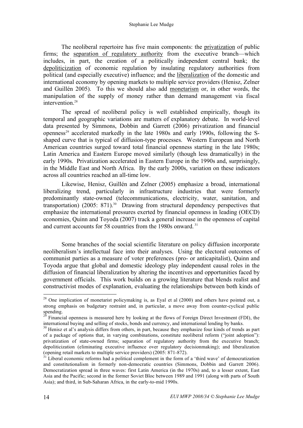The neoliberal repertoire has five main components: the privatization of public firms; the separation of regulatory authority from the executive branch—which includes, in part, the creation of a politically independent central bank; the depoliticization of economic regulation by insulating regulatory authorities from political (and especially executive) influence; and the liberalization of the domestic and international economy by opening markets to multiple service providers (Henisz, Zelner and Guillén 2005). To this we should also add monetarism or, in other words, the manipulation of the supply of money rather than demand management via fiscal intervention $28$ 

The spread of neoliberal policy is well established empirically, though its temporal and geographic variations are matters of explanatory debate. In world-level data presented by Simmons, Dobbin and Garrett (2006) privatization and financial openness<sup>29</sup> accelerated markedly in the late 1980s and early 1990s, following the Sshaped curve that is typical of diffusion-type processes. Western European and North American countries surged toward total financial openness starting in the late 1980s; Latin America and Eastern Europe moved similarly (though less dramatically) in the early 1990s. Privatization accelerated in Eastern Europe in the 1990s and, surprisingly, in the Middle East and North Africa. By the early 2000s, variation on these indicators across all countries reached an all-time low.

Likewise, Henisz, Guillén and Zelner (2005) emphasize a broad, international liberalizing trend, particularly in infrastructure industries that were formerly predominantly state-owned (telecommunications, electricity, water, sanitation, and transportation) (2005: 871). <sup>30</sup> Drawing from structural dependency perspectives that emphasize the international pressures exerted by financial openness in leading (OECD) economies, Quinn and Toyoda (2007) track a general increase in the openness of capital and current accounts for 58 countries from the 1980s onward.<sup>31</sup>

Some branches of the social scientific literature on policy diffusion incorporate neoliberalism's intellectual face into their analyses. Using the electoral outcomes of communist parties as a measure of voter preferences (pro- or anticapitalist), Quinn and Toyoda argue that global and domestic ideology play independent causal roles in the diffusion of financial liberalization by altering the incentives and opportunities faced by government officials. This work builds on a growing literature that blends realist and constructivist modes of explanation, evaluating the relationships between both kinds of

<sup>&</sup>lt;sup>28</sup> One implication of monetarist policymaking is, as Eyal et al (2000) and others have pointed out, a strong emphasis on budgetary restraint and, in particular, a move away from counter-cyclical public

spending. <sup>29</sup> Financial openness is measured here by looking at the flows of Foreign Direct Investment (FDI), the international buying and selling of stocks, bonds and currency, and international lending by banks.

<sup>&</sup>lt;sup>30</sup> Henisz et al's analysis differs from others, in part, because they emphasize four kinds of trends as part of a package of options that, in varying combinations, constitute neoliberal reform ("joint adoption"): privatization of state-owned firms; separation of regulatory authority from the executive branch; depoliticization (eliminating executive influence over regulatory decisionmaking); and liberalization (opening retail markets to multiple service providers) (2005: 871-872).

Liberal economic reforms had a political complement in the form of a 'third wave' of democratization and constitutionalism in formerly non-democratic countries (Simmons, Dobbin and Garrett 2006). Democratization spread in three waves: first Latin America (in the 1970s) and, to a lesser extent, East Asia and the Pacific; second in the former Soviet Bloc between 1989 and 1991 (along with parts of South Asia); and third, in Sub-Saharan Africa, in the early-to-mid 1990s.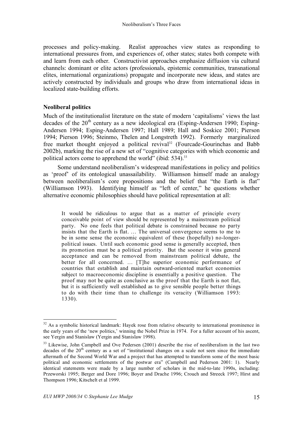processes and policy-making. Realist approaches view states as responding to international pressures from, and experiences of, other states; states both compete with and learn from each other. Constructivist approaches emphasize diffusion via cultural channels: dominant or elite actors (professionals, epistemic communities, transnational elites, international organizations) propagate and incorporate new ideas, and states are actively constructed by individuals and groups who draw from international ideas in localized state-building efforts.

#### **Neoliberal politics**

Much of the institutionalist literature on the state of modern 'capitalisms' views the last decades of the  $20<sup>th</sup>$  century as a new ideological era (Esping-Andersen 1990; Esping-Andersen 1994; Esping-Andersen 1997; Hall 1989; Hall and Soskice 2001; Pierson 1994; Pierson 1996; Steinmo, Thelen and Longstreth 1992). Formerly marginalized free market thought enjoyed a political revival <sup>32</sup> (Fourcade-Gourinchas and Babb 2002b), marking the rise of a new set of "cognitive categories with which economic and political actors come to apprehend the world" (ibid: 534).<sup>33</sup>

Some understand neoliberalism's widespread manifestations in policy and politics as 'proof' of its ontological unassailability. Williamson himself made an analogy between neoliberalism's core propositions and the belief that "the Earth is flat" (Williamson 1993). Identifying himself as "left of center," he questions whether alternative economic philosophies should have political representation at all:

It would be ridiculous to argue that as a matter of principle every conceivable point of view should be represented by a mainstream political party. No one feels that political debate is constrained because no party insists that the Earth is flat. … The universal convergence seems to me to be in some sense the economic equivalent of these (hopefully) no-longerpolitical issues. Until such economic good sense is generally accepted, then its promotion must be a political priority. But the sooner it wins general acceptance and can be removed from mainstream political debate, the better for all concerned. … [T]he superior economic performance of countries that establish and maintain outward-oriented market economies subject to macroeconomic discipline is essentially a positive question. The proof may not be quite as conclusive as the proof that the Earth is not flat, but it is sufficiently well established as to give sensible people better things to do with their time than to challenge its veracity (Williamson 1993: 1330).

<sup>&</sup>lt;sup>32</sup> As a symbolic historical landmark: Hayek rose from relative obscurity to international prominence in the early years of the 'new politics,' winning the Nobel Prize in 1974. For a fuller account of his ascent, see Yergin and Stanislaw (Yergin and Stanislaw 1998).

<sup>&</sup>lt;sup>33</sup> Likewise, John Campbell and Ove Pedersen (2001) describe the rise of neoliberalism in the last two decades of the 20<sup>th</sup> century as a set of "institutional changes on a scale not seen since the immediate aftermath of the Second World War and a project that has attempted to transform some of the most basic political and economic settlements of the postwar era" (Campbell and Pederson 2001: 1). Nearly identical statements were made by a large number of scholars in the mid-to-late 1990s, including: Przeworski 1995; Berger and Dore 1996; Boyer and Drache 1996; Crouch and Streeck 1997; Hirst and Thompson 1996; Kitschelt et al 1999.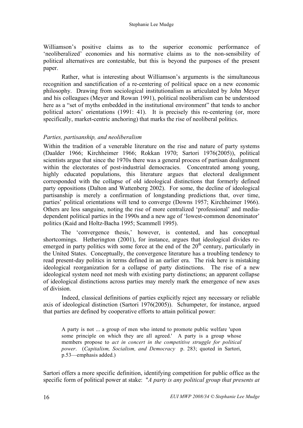Williamson's positive claims as to the superior economic performance of 'neoliberalized' economies and his normative claims as to the non-sensibility of political alternatives are contestable, but this is beyond the purposes of the present paper.

Rather, what is interesting about Williamson's arguments is the simultaneous recognition and sanctification of a re-centering of political space on a new economic philosophy. Drawing from sociological institutionalism as articulated by John Meyer and his colleagues (Meyer and Rowan 1991), political neoliberalism can be understood here as a "set of myths embedded in the institutional environment" that tends to anchor political actors' orientations (1991: 41). It is precisely this re-centering (or, more specifically, market-centric anchoring) that marks the rise of neoliberal politics.

# *Parties, partisanship, and neoliberalism*

Within the tradition of a venerable literature on the rise and nature of party systems (Daalder 1966; Kirchheimer 1966; Rokkan 1970; Sartori 1976(2005)), political scientists argue that since the 1970s there was a general process of partisan dealignment within the electorates of post-industrial democracies. Concentrated among young, highly educated populations, this literature argues that electoral dealignment corresponded with the collapse of old ideological distinctions that formerly defined party oppositions (Dalton and Wattenberg 2002). For some, the decline of ideological partisanship is merely a confirmation of longstanding predictions that, over time, parties' political orientations will tend to converge (Downs 1957; Kirchheimer 1966). Others are less sanguine, noting the rise of more centralized 'professional' and mediadependent political parties in the 1990s and a new age of 'lowest-common denominator' politics (Kaid and Holtz-Bacha 1995; Scammell 1995).

The 'convergence thesis,' however, is contested, and has conceptual shortcomings. Hetherington (2001), for instance, argues that ideological divides reemerged in party politics with some force at the end of the  $20<sup>th</sup>$  century, particularly in the United States. Conceptually, the convergence literature has a troubling tendency to read present-day politics in terms defined in an earlier era. The risk here is mistaking ideological reorganization for a collapse of party distinctions. The rise of a new ideological system need not mesh with existing party distinctions; an apparent collapse of ideological distinctions across parties may merely mark the emergence of new axes of division.

Indeed, classical definitions of parties explicitly reject any necessary or reliable axis of ideological distinction (Sartori 1976(2005)). Schumpeter, for instance, argued that parties are defined by cooperative efforts to attain political power:

A party is not ... a group of men who intend to promote public welfare 'upon some principle on which they are all agreed.' A party is a group whose members propose to *act in concert in the competitive struggle for political power*. (*Capitalism, Socialism, and Democracy* p. 283; quoted in Sartori, p.53—emphasis added.)

Sartori offers a more specific definition, identifying competition for public office as the specific form of political power at stake: "*A party is any political group that presents at*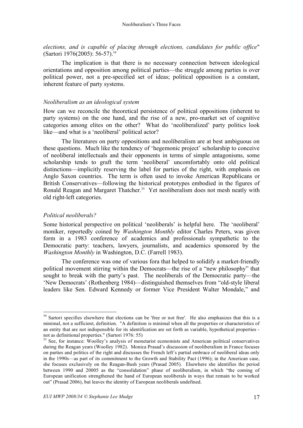*elections, and is capable of placing through elections, candidates for public office*" (Sartori 1976(2005): 56-57). 34

The implication is that there is no necessary connection between ideological orientations and opposition among political parties—the struggle among parties is over political power, not a pre-specified set of ideas; political opposition is a constant, inherent feature of party systems.

#### *Neoliberalism as an ideological system*

How can we reconcile the theoretical persistence of political oppositions (inherent to party systems) on the one hand, and the rise of a new, pro-market set of cognitive categories among elites on the other? What do 'neoliberalized' party politics look like—and what is a 'neoliberal' political actor?

The literatures on party oppositions and neoliberalism are at best ambiguous on these questions. Much like the tendency of 'hegemonic project' scholarship to conceive of neoliberal intellectuals and their opponents in terms of simple antagonisms, some scholarship tends to graft the term 'neoliberal' uncomfortably onto old political distinctions—implicitly reserving the label for parties of the right, with emphasis on Anglo Saxon countries. The term is often used to invoke American Republicans or British Conservatives—following the historical prototypes embodied in the figures of Ronald Reagan and Margaret Thatcher. <sup>35</sup> Yet neoliberalism does not mesh neatly with old right-left categories.

#### *Political neoliberals?*

Some historical perspective on political 'neoliberals' is helpful here. The 'neoliberal' moniker, reportedly coined by *Washington Monthly* editor Charles Peters, was given form in a 1983 conference of academics and professionals sympathetic to the Democratic party: teachers, lawyers, journalists, and academics sponsored by the *Washington Monthly* in Washington, D.C. (Farrell 1983).

The conference was one of various fora that helped to solidify a market-friendly political movement stirring within the Democrats—the rise of a "new philosophy" that sought to break with the party's past. The neoliberals of the Democratic party—the 'New Democrats' (Rothenberg 1984)—distinguished themselves from "old-style liberal leaders like Sen. Edward Kennedy or former Vice President Walter Mondale," and

<sup>&</sup>lt;sup>34</sup> Sartori specifies elsewhere that elections can be 'free or not free'. He also emphasizes that this is a minimal, not a sufficient, definition. "A definition is minimal when all the properties or characteristics of an entity that are not indispensible for its identification are set forth as variable, hypothetical properties -

not as definitional properties." (Sartori 1976: 55)<br><sup>35</sup> See, for instance: Woolley's analysis of monetarist economists and American political conservatives during the Reagan years (Woolley 1982). Monica Prasad's discussion of neoliberalism in France focuses on parties and politics of the right and discusses the French left's partial embrace of neoliberal ideas only in the 1990s—as part of its commitment to the Growth and Stability Pact (1996); in the American case, she focuses exclusively on the Reagan-Bush years (Prasad 2005). Elsewhere she identifies the period between 1990 and 20005 as the "consolidation" phase of neoliberalism, in which "the coming of European unification strengthened the hand of European neoliberals in ways that remain to be worked out" (Prasad 2006), but leaves the identity of European neoliberals undefined.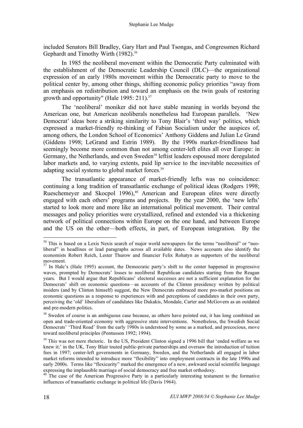included Senators Bill Bradley, Gary Hart and Paul Tsongas, and Congressmen Richard Gephardt and Timothy Wirth (1982).<sup>36</sup>

In 1985 the neoliberal movement within the Democratic Party culminated with the establishment of the Democratic Leadership Council (DLC)—the organizational expression of an early 1980s movement within the Democratic party to move to the political center by, among other things, shifting economic policy priorities "away from an emphasis on redistribution and toward an emphasis on the twin goals of restoring growth and opportunity" (Hale 1995: 211).<sup>37</sup>

The 'neoliberal' moniker did not have stable meaning in worlds beyond the American one, but American neoliberals nonetheless had European parallels. 'New Democrat' ideas bore a striking similarity to Tony Blair's 'third way' politics, which expressed a market-friendly re-thinking of Fabian Socialism under the auspices of, among others, the London School of Economics' Anthony Giddens and Julian Le Grand (Giddens 1998; LeGrand and Estrin 1989). By the 1990s market-friendliness had seemingly become more common than not among center-left elites all over Europe: in Germany, the Netherlands, and even Sweden<sup>38</sup> leftist leaders espoused more deregulated labor markets and, to varying extents, paid lip service to the inevitable necessities of adapting social systems to global market forces.<sup>39</sup>

The transatlantic appearance of market-friendly lefts was no coincidence: continuing a long tradition of transatlantic exchange of political ideas (Rodgers 1998; Rueschemeyer and Skocpol 1996), <sup>40</sup> American and European elites were directly engaged with each others' programs and projects. By the year 2000, the 'new lefts' started to look more and more like an international political movement. Their central messages and policy priorities were crystallized, refined and extended via a thickening network of political connections within Europe on the one hand, and between Europe and the US on the other—both effects, in part, of European integration. By the

<sup>&</sup>lt;sup>36</sup> This is based on a Lexis Nexis search of major world newspapers for the terms "neoliberal" or "neoliberal" in headlines or lead paragraphs across all available dates. News accounts also identify the economists Robert Reich, Lester Thurow and financier Felix Rohatyn as supporters of the neoliberal

movement.<br><sup>37</sup> In Hale's (Hale 1995) account, the Democratic party's shift to the center happened in progressive waves, prompted by Democrats' losses to neoliberal Republican candidates starting from the Reagan years. But I would argue that Republicans' electoral successes are not a sufficient explanation for the Democrats' shift on economic questions—as accounts of the Clinton presidency written by political insiders (and by Clinton himself) suggest, the New Democrats embraced more pro-market positions on economic questions as a response to experiences with and perceptions of candidates in their own party, perceiving the 'old' liberalism of candidates like Dukakis, Mondale, Carter and McGovern as an outdated and pre-modern politics.

<sup>&</sup>lt;sup>38</sup> Sweden of course is an ambiguous case because, as others have pointed out, it has long combined an open and trade-oriented economy with aggressive state interventions. Nonetheless, the Swedish Social Democrats' 'Third Road' from the early 1980s is understood by some as a marked, and precocious, move toward neoliberal principles (Pontusson 1992; 1994).

 $39$  This was not mere rhetoric. In the US, President Clinton signed a 1996 bill that 'ended welfare as we knew it;' in the UK, Tony Blair touted public-private partnerships and oversaw the introduction of tuition fees in 1997; center-left governments in Germany, Sweden, and the Netherlands all engaged in labor market reforms intended to introduce more "flexibility" into employment contracts in the late 1990s and early 2000s. Terms like "flexicurity" marked the emergence of a new, awkward social scientific language expressing the implausible marriage of social democracy and free market orthodoxy.<br><sup>40</sup> The case of the American Progressive Party in a particularly interesting testament to the formative

influences of transatlantic exchange in political life (Davis 1964).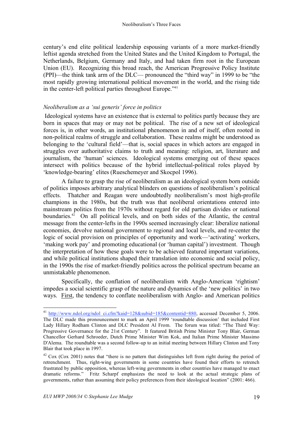century's end elite political leadership espousing variants of a more market-friendly leftist agenda stretched from the United States and the United Kingdom to Portugal, the Netherlands, Belgium, Germany and Italy, and had taken firm root in the European Union (EU). Recognizing this broad reach, the American Progressive Policy Institute (PPI)—the think tank arm of the DLC— pronounced the "third way" in 1999 to be "the most rapidly growing international political movement in the world, and the rising tide in the center-left political parties throughout Europe."41

## *Neoliberalism as a 'sui generis' force in politics*

Ideological systems have an existence that is external to politics partly because they are born in spaces that may or may not be political. The rise of a new set of ideological forces is, in other words, an institutional phenomenon in and of itself, often rooted in non-political realms of struggle and collaboration. These realms might be understood as belonging to the 'cultural field'—that is, social spaces in which actors are engaged in struggles over authoritative claims to truth and meaning: religion, art, literature and journalism, the 'human' sciences. Ideological systems emerging out of these spaces intersect with politics because of the hybrid intellectual-political roles played by 'knowledge-bearing' elites (Rueschemeyer and Skocpol 1996).

A failure to grasp the rise of neoliberalism as an ideological system born outside of politics imposes arbitrary analytical blinders on questions of neoliberalism's political effects. Thatcher and Reagan were undoubtedly neoliberalism's most high-profile champions in the 1980s, but the truth was that neoliberal orientations entered into mainstream politics from the 1970s without regard for old partisan divides or national boundaries. <sup>42</sup> On all political levels, and on both sides of the Atlantic, the central message from the center-lefts in the 1990s seemed increasingly clear: liberalize national economies, devolve national government to regional and local levels, and re-center the logic of social provision on principles of opportunity and work—'activating' workers, 'making work pay' and promoting educational (or 'human capital') investment. Though the interpretation of how these goals were to be achieved featured important variations, and while political institutions shaped their translation into economic and social policy, in the 1990s the rise of market-friendly politics across the political spectrum became an unmistakable phenomenon.

Specifically, the conflation of neoliberalism with Anglo-American 'rightism' impedes a social scientific grasp of the nature and dynamics of the 'new politics' in two ways. First, the tendency to conflate neoliberalism with Anglo- and American politics

<sup>&</sup>lt;sup>41</sup> http://www.ndol.org/ndol\_ci.cfm?kaid=128&subid=185&contentid=880, accessed December 5, 2006. The DLC made this pronouncement to mark an April 1999 'roundtable discussion' that included First Lady Hillary Rodham Clinton and DLC President Al From. The forum was titled: "The Third Way: Progressive Governance for the 21st Century". It featured British Prime Minister Tony Blair, German Chancellor Gerhard Schroeder, Dutch Prime Minister Wim Kok, and Italian Prime Minister Massimo D'Alema. The roundtable was a second follow-up to an initial meeting between Hillary Clinton and Tony Blair that took place in 1997.

 $42$  Cox (Cox 2001) notes that "there is no pattern that distinguishes left from right during the period of retrenchment. Thus, right-wing governments in some countries have found their efforts to retrench frustrated by public opposition, whereas left-wing governments in other countries have managed to enact dramatic reforms." Fritz Scharpf emphasizes the need to look at the actual strategic plans of governments, rather than assuming their policy preferences from their ideological location" (2001: 466).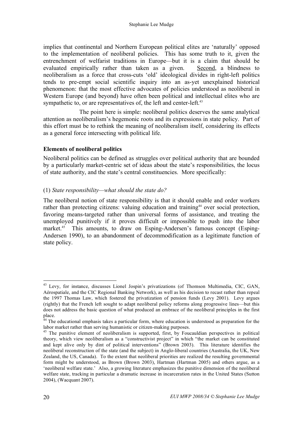implies that continental and Northern European political elites are 'naturally' opposed to the implementation of neoliberal policies. This has some truth to it, given the entrenchment of welfarist traditions in Europe—but it is a claim that should be evaluated empirically rather than taken as a given. Second, a blindness to neoliberalism as a force that cross-cuts 'old' ideological divides in right-left politics tends to pre-empt social scientific inquiry into an as-yet unexplained historical phenomenon: that the most effective advocates of policies understood as neoliberal in Western Europe (and beyond) have often been political and intellectual elites who are sympathetic to, or are representatives of, the left and center-left.<sup>43</sup>

The point here is simple: neoliberal politics deserves the same analytical attention as neoliberalism's hegemonic roots and its expressions in state policy. Part of this effort must be to rethink the meaning of neoliberalism itself, considering its effects as a general force intersecting with political life.

# **Elements of neoliberal politics**

Neoliberal politics can be defined as struggles over political authority that are bounded by a particularly market-centric set of ideas about the state's responsibilities, the locus of state authority, and the state's central constituencies. More specifically:

# (1) *State responsibility—what should the state do?*

The neoliberal notion of state responsibility is that it should enable and order workers rather than protecting citizens: valuing education and training<sup>44</sup> over social protection, favoring means-targeted rather than universal forms of assistance, and treating the unemployed punitively if it proves difficult or impossible to push into the labor market.<sup>45</sup> This amounts, to draw on Esping-Andersen's famous concept (Esping-Andersen 1990), to an abandonment of decommodification as a legitimate function of state policy.

<sup>&</sup>lt;sup>43</sup> Levy, for instance, discusses Lionel Jospin's privatizations (of Thomson Multimedia, CIC, GAN, Aérospatiale, and the CIC Regional Banking Network), as well as his decision to recast rather than repeal the 1997 Thomas Law, which fostered the privatization of pension funds (Levy 2001). Levy argues (rightly) that the French left sought to adapt neoliberal policy reforms along progressive lines—but this does not address the basic question of what produced an embrace of the neoliberal principles in the first

place.<br><sup>44</sup> The educational emphasis takes a particular form, where education is understood as preparation for the<br>labor market rather than serving humanistic or citizen-making purposes.

<sup>&</sup>lt;sup>45</sup> The punitive element of neoliberalism is supported, first, by Foucauldian perspectives in political theory, which view neoliberalism as a "constructivist project" in which "the market can be constituted and kept alive only by dint of political interventions" (Brown 2003). This literature identifies the neoliberal reconstruction of the state (and the subject) in Anglo-liberal countries (Australia, the UK, New Zealand, the US, Canada). To the extent that neoliberal priorities are realized the resulting governmental form might be understood, as Brown (Brown 2003), Hartman (Hartman 2005) and others argue, as a 'neoliberal welfare state.' Also, a growing literature emphasizes the punitive dimension of the neoliberal welfare state, tracking in particular a dramatic increase in incarceration rates in the United States (Sutton 2004), (Wacquant 2007).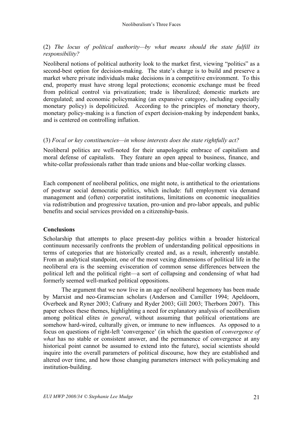# (2) *The locus of political authority—by what means should the state fulfill its responsibility?*

Neoliberal notions of political authority look to the market first, viewing "politics" as a second-best option for decision-making. The state's charge is to build and preserve a market where private individuals make decisions in a competitive environment. To this end, property must have strong legal protections; economic exchange must be freed from political control via privatization; trade is liberalized; domestic markets are deregulated; and economic policymaking (an expansive category, including especially monetary policy) is depoliticized. According to the principles of monetary theory, monetary policy-making is a function of expert decision-making by independent banks, and is centered on controlling inflation.

### (3) *Focal or key constituencies—in whose interests does the state rightfully act?*

Neoliberal politics are well-noted for their unapologetic embrace of capitalism and moral defense of capitalists. They feature an open appeal to business, finance, and white-collar professionals rather than trade unions and blue-collar working classes.

Each component of neoliberal politics, one might note, is antithetical to the orientations of postwar social democratic politics, which include: full employment via demand management and (often) corporatist institutions, limitations on economic inequalities via redistribution and progressive taxation, pro-union and pro-labor appeals, and public benefits and social services provided on a citizenship-basis.

#### **Conclusions**

Scholarship that attempts to place present-day politics within a broader historical continuum necessarily confronts the problem of understanding political oppositions in terms of categories that are historically created and, as a result, inherently unstable. From an analytical standpoint, one of the most vexing dimensions of political life in the neoliberal era is the seeming evisceration of common sense differences between the political left and the political right—a sort of collapsing and condensing of what had formerly seemed well-marked political oppositions.

The argument that we now live in an age of neoliberal hegemony has been made by Marxist and neo-Gramscian scholars (Anderson and Camiller 1994; Apeldoorn, Overbeek and Ryner 2003; Cafruny and Ryder 2003; Gill 2003; Therborn 2007). This paper echoes these themes, highlighting a need for explanatory analysis of neoliberalism among political elites *in general*, without assuming that political orientations are somehow hard-wired, culturally given, or immune to new influences. As opposed to a focus on questions of right-left 'convergence' (in which the question of *convergence of what* has no stable or consistent answer, and the permanence of convergence at any historical point cannot be assumed to extend into the future), social scientists should inquire into the overall parameters of political discourse, how they are established and altered over time, and how those changing parameters intersect with policymaking and institution-building.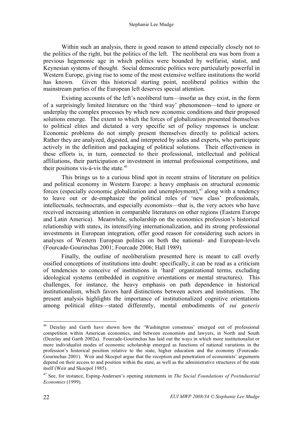Within such an analysis, there is good reason to attend especially closely not to the politics of the right, but the politics of the left. The neoliberal era was born from a previous hegemonic age in which politics were bounded by welfarist, statist, and Keynesian systems of thought. Social democratic politics were particularly powerful in Western Europe, giving rise to some of the most extensive welfare institutions the world has known. Given this historical starting point, neoliberal politics within the mainstream parties of the European left deserves special attention.

Existing accounts of the left's neoliberal turn—insofar as they exist, in the form of a surprisingly limited literature on the 'third way' phenomenon—tend to ignore or underplay the complex processes by which new economic conditions and their proposed solutions emerge. The extent to which the forces of globalization presented themselves to political elites and dictated a very specific set of policy responses is unclear. Economic problems do not simply present themselves directly to political actors. Rather they are analyzed, digested, and interpreted by aides and experts, who participate actively in the definition and packaging of political solutions. Their effectiveness in these efforts is, in turn, connected to their professional, intellectual and political affiliations, their participation or investment in internal professional competitions, and their positions vis-à-vis the state. 46

This brings us to a curious blind spot in recent strains of literature on politics and political economy in Western Europe: a heavy emphasis on structural economic forces (especially economic globalization and unemployment), <sup>47</sup> along with a tendency to leave out or de-emphasize the political roles of 'new class' professionals, intellectuals, technocrats, and especially economists—that is, the very actors who have received increasing attention in comparable literatures on other regions (Eastern Europe and Latin America). Meanwhile, scholarship on the economics profession's historical relationship with states, its intensifying internationalization, and its strong professional investments in European integration, offer good reason for considering such actors in analyses of Western European politics on both the national- and European-levels (Fourcade-Gourinchas 2001; Fourcade 2006; Hall 1989).

Finally, the outline of neoliberalism presented here is meant to call overly ossified conceptions of institutions into doubt: specifically, it can be read as a criticism of tendencies to conceive of institutions in 'hard' organizational terms, excluding ideological systems (embedded in cognitive orientations or mental structures). This challenges, for instance, the heavy emphasis on path dependence in historical institutionalism, which favors hard distinctions between actors and institutions. The present analysis highlights the importance of institutionalized cognitive orientations among political elites—stated differently, mental embodiments of *sui generis*

 <sup>46</sup> Dezelay and Garth have shown how the 'Washington consensus' emerged out of professional competition within American economics, and between economists and lawyers, in North and South (Dezelay and Garth 2002a). Fourcade-Gourinchas has laid out the ways in which more institutionalist or more individualist modes of economic scholarship emerged as functions of national variations in the profession's historical position relative to the state, higher education and the economy (Fourcade-Gourinchas 2001). Weir and Skocpol argue that the reception and penetration of economists' arguments depend on their access to and position within the state, as well as the administrative structures of the state itself (Weir and Skocpol 1985).

<sup>47</sup> See, for instance, Esping-Andersen's opening statements in *The Social Foundations of Postindustrial Economies* (1999).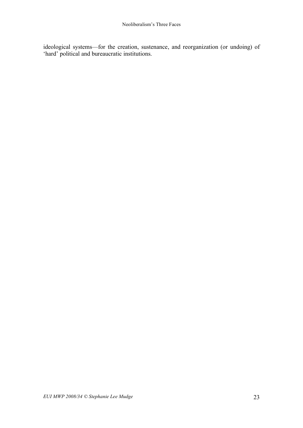ideological systems—for the creation, sustenance, and reorganization (or undoing) of 'hard' political and bureaucratic institutions.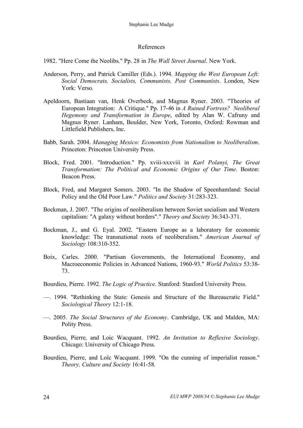#### References

- 1982. "Here Come the Neolibs." Pp. 28 in *The Wall Street Journal*. New York.
- Anderson, Perry, and Patrick Camiller (Eds.). 1994. *Mapping the West European Left: Social Democrats, Socialists, Communists, Post Communists*. London, New York: Verso.
- Apeldoorn, Bastiaan van, Henk Overbeek, and Magnus Ryner. 2003. "Theories of European Integration: A Critique." Pp. 17-46 in *A Ruined Fortress? Neoliberal Hegemony and Transformation in Europe*, edited by Alan W. Cafruny and Magnus Ryner. Lanham, Boulder, New York, Toronto, Oxford: Rowman and Littlefield Publishers, Inc.
- Babb, Sarah. 2004. *Managing Mexico: Economists from Nationalism to Neoliberalism*. Princeton: Princeton University Press.
- Block, Fred. 2001. "Introduction." Pp. xviii-xxxviii in *Karl Polanyi, The Great Transformation: The Political and Economic Origins of Our Time*. Boston: Beacon Press.
- Block, Fred, and Margaret Somers. 2003. "In the Shadow of Speenhamland: Social Policy and the Old Poor Law." *Politics and Society* 31:283-323.
- Bockman, J. 2007. "The origins of neoliberalism between Soviet socialism and Western capitalism: "A galaxy without borders"." *Theory and Society* 36:343-371.
- Bockman, J., and G. Eyal. 2002. "Eastern Europe as a laboratory for economic knowledge: The transnational roots of neoliberalism." *American Journal of Sociology* 108:310-352.
- Boix, Carles. 2000. "Partisan Governments, the International Economy, and Macroeconomic Policies in Advanced Nations, 1960-93." *World Politics* 53:38- 73.
- Bourdieu, Pierre. 1992. *The Logic of Practice*. Stanford: Stanford University Press.
- —. 1994. "Rethinking the State: Genesis and Structure of the Bureaucratic Field." *Sociological Theory* 12:1-18.
- —. 2005. *The Social Structures of the Economy*. Cambridge, UK and Malden, MA: Polity Press.
- Bourdieu, Pierre, and Loic Wacquant. 1992. *An Invitation to Reflexive Sociology*. Chicago: University of Chicago Press.
- Bourdieu, Pierre, and Loïc Wacquant. 1999. "On the cunning of imperialist reason." *Theory, Culture and Society* 16:41-58.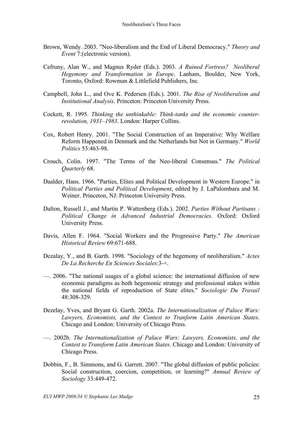- Brown, Wendy. 2003. "Neo-liberalism and the End of Liberal Democracy." *Theory and Event* 7:(electronic version).
- Cafruny, Alan W., and Magnus Ryder (Eds.). 2003. *A Ruined Fortress? Neoliberal Hegemony and Transformation in Europe*. Lanham, Boulder, New York, Toronto, Oxford: Rowman & Littlefield Publishers, Inc.
- Campbell, John L., and Ove K. Pedersen (Eds.). 2001. *The Rise of Neoliberalism and Institutional Analysis*. Princeton: Princeton University Press.
- Cockett, R. 1995. *Thinking the unthinkable: Think-tanks and the economic counterrevolution, 1931–1983*. London: Harper Collins.
- Cox, Robert Henry. 2001. "The Social Construction of an Imperative: Why Welfare Reform Happened in Denmark and the Netherlands but Not in Germany." *World Politics* 53:463-98.
- Crouch, Colin. 1997. "The Terms of the Neo-liberal Consensus." *The Political Quarterly* 68.
- Daalder, Hans. 1966. "Parties, Elites and Political Development in Western Europe." in *Political Parties and Political Development*, edited by J. LaPalombara and M. Weiner. Princeton, NJ: Princeton University Press.
- Dalton, Russell J., and Martin P. Wattenberg (Eds.). 2002. *Parties Without Partisans : Political Change in Advanced Industrial Democracies*. Oxford: Oxford University Press.
- Davis, Allen F. 1964. "Social Workers and the Progressive Party." *The American Historical Review* 69:671-688.
- Dezalay, Y., and B. Garth. 1998. "Sociology of the hegemony of neoliberalism." *Actes De La Recherche En Sciences Sociales*:3-+.
- —. 2006. "The national usages of a global science: the international diffusion of new economic paradigms as both hegemonic strategy and professional stakes within the national fields of reproduction of State elites." *Sociologie Du Travail* 48:308-329.
- Dezelay, Yves, and Bryant G. Garth. 2002a. *The Internationalization of Palace Wars: Lawyers, Economists, and the Contest to Tranform Latin American States*. Chicago and London: University of Chicago Press.
- —. 2002b. *The Internationalization of Palace Wars: Lawyers, Economists, and the Contest to Transform Latin American States*. Chicago and London: University of Chicago Press.
- Dobbin, F., B. Simmons, and G. Garrett. 2007. "The global diffusion of public policies: Social construction, coercion, competition, or learning?" *Annual Review of Sociology* 33:449-472.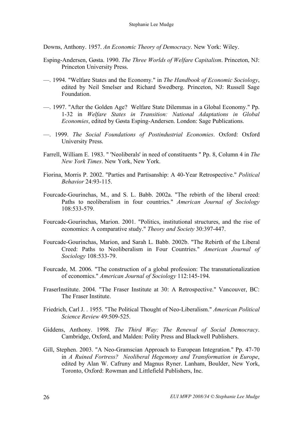Downs, Anthony. 1957. *An Economic Theory of Democracy*. New York: Wiley.

- Esping-Andersen, Gøsta. 1990. *The Three Worlds of Welfare Capitalism*. Princeton, NJ: Princeton University Press.
- —. 1994. "Welfare States and the Economy." in *The Handbook of Economic Sociology*, edited by Neil Smelser and Richard Swedberg. Princeton, NJ: Russell Sage Foundation.
- —. 1997. "After the Golden Age? Welfare State Dilemmas in a Global Economy." Pp. 1-32 in *Welfare States in Transition: National Adaptations in Global Economies*, edited by Gøsta Esping-Andersen. London: Sage Publications.
- —. 1999. *The Social Foundations of Postindustrial Economies*. Oxford: Oxford University Press.
- Farrell, William E. 1983. " 'Neoliberals' in need of constituents " Pp. 8, Column 4 in *The New York Times*. New York, New York.
- Fiorina, Morris P. 2002. "Parties and Partisanship: A 40-Year Retrospective." *Political Behavior* 24:93-115.
- Fourcade-Gourinchas, M., and S. L. Babb. 2002a. "The rebirth of the liberal creed: Paths to neoliberalism in four countries." *American Journal of Sociology* 108:533-579.
- Fourcade-Gourinchas, Marion. 2001. "Politics, institutional structures, and the rise of economics: A comparative study." *Theory and Society* 30:397-447.
- Fourcade-Gourinchas, Marion, and Sarah L. Babb. 2002b. "The Rebirth of the Liberal Creed: Paths to Neoliberalism in Four Countries." *American Journal of Sociology* 108:533-79.
- Fourcade, M. 2006. "The construction of a global profession: The transnationalization of economics." *American Journal of Sociology* 112:145-194.
- FraserInstitute. 2004. "The Fraser Institute at 30: A Retrospective." Vancouver, BC: The Fraser Institute.
- Friedrich, Carl J. . 1955. "The Political Thought of Neo-Liberalism." *American Political Science Review* 49:509-525.
- Giddens, Anthony. 1998. *The Third Way: The Renewal of Social Democracy*. Cambridge, Oxford, and Malden: Polity Press and Blackwell Publishers.
- Gill, Stephen. 2003. "A Neo-Gramscian Approach to European Integration." Pp. 47-70 in *A Ruined Fortress? Neoliberal Hegemony and Transformation in Europe*, edited by Alan W. Cafruny and Magnus Ryner. Lanham, Boulder, New York, Toronto, Oxford: Rowman and Littlefield Publishers, Inc.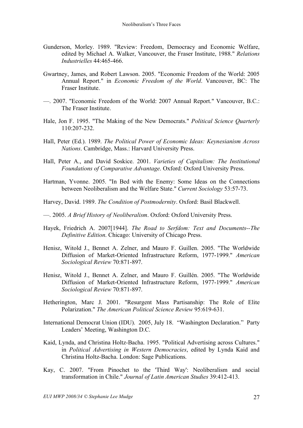- Gunderson, Morley. 1989. "Review: Freedom, Democracy and Economic Welfare, edited by Michael A. Walker, Vancouver, the Fraser Institute, 1988." *Relations Industrielles* 44:465-466.
- Gwartney, James, and Robert Lawson. 2005. "Economic Freedom of the World: 2005 Annual Report." in *Economic Freedom of the World*. Vancouver, BC: The Fraser Institute.
- —. 2007. "Economic Freedom of the World: 2007 Annual Report." Vancouver, B.C.: The Fraser Institute.
- Hale, Jon F. 1995. "The Making of the New Democrats." *Political Science Quarterly* 110:207-232.
- Hall, Peter (Ed.). 1989. *The Political Power of Economic Ideas: Keynesianism Across Nations*. Cambridge, Mass.: Harvard University Press.
- Hall, Peter A., and David Soskice. 2001. *Varieties of Capitalism: The Institutional Foundations of Comparative Advantage*. Oxford: Oxford University Press.
- Hartman, Yvonne. 2005. "In Bed with the Enemy: Some Ideas on the Connections between Neoliberalism and the Welfare State." *Current Sociology* 53:57-73.
- Harvey, David. 1989. *The Condition of Postmodernity*. Oxford: Basil Blackwell.
- —. 2005. *A Brief History of Neoliberalism*. Oxford: Oxford University Press.
- Hayek, Friedrich A. 2007[1944]. *The Road to Serfdom: Text and Documents--The Definitive Edition*. Chicago: University of Chicago Press.
- Henisz, Witold J., Bennet A. Zelner, and Mauro F. Guillen. 2005. "The Worldwide Diffusion of Market-Oriented Infrastructure Reform, 1977-1999." *American Sociological Review* 70:871-897.
- Henisz, Witold J., Bennet A. Zelner, and Mauro F. Guillén. 2005. "The Worldwide Diffusion of Market-Oriented Infrastructure Reform, 1977-1999." *American Sociological Review* 70:871-897.
- Hetherington, Marc J. 2001. "Resurgent Mass Partisanship: The Role of Elite Polarization." *The American Political Science Review* 95:619-631.
- International Democrat Union (IDU). 2005, July 18. "Washington Declaration." Party Leaders' Meeting, Washington D.C.
- Kaid, Lynda, and Christina Holtz-Bacha. 1995. "Political Advertising across Cultures." in *Political Advertising in Western Democracies*, edited by Lynda Kaid and Christina Holtz-Bacha. London: Sage Publications.
- Kay, C. 2007. "From Pinochet to the 'Third Way': Neoliberalism and social transformation in Chile." *Journal of Latin American Studies* 39:412-413.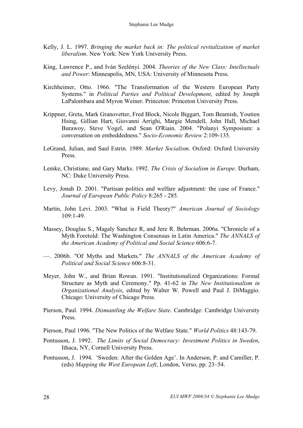- Kelly, J. L. 1997. *Bringing the market back in: The political revitalization of market liberalism*. New York: New York University Press.
- King, Lawrence P., and Iván Szelényi. 2004. *Theories of the New Class: Intellectuals and Power*: Minneapolis, MN, USA: University of Minnesota Press.
- Kirchheimer, Otto. 1966. "The Transformation of the Western European Party Systems." in *Political Parties and Political Development*, edited by Joseph LaPalombara and Myron Weiner. Princeton: Princeton University Press.
- Krippner, Greta, Mark Granovetter, Fred Block, Nicole Biggart, Tom Beamish, Youtien Hsing, Gillian Hart, Giovanni Arrighi, Margie Mendell, John Hall, Michael Burawoy, Steve Vogel, and Sean O'Riain. 2004. "Polanyi Symposium: a conversation on embeddedness." *Socio-Economic Review* 2:109-135.
- LeGrand, Julian, and Saul Estrin. 1989. *Market Socialism*. Oxford: Oxford University Press.
- Lemke, Christiane, and Gary Marks. 1992. *The Crisis of Socialism in Europe*. Durham, NC: Duke University Press.
- Levy, Jonah D. 2001. "Partisan politics and welfare adjustment: the case of France." *Journal of European Public Policy* 8:265 - 285.
- Martin, John Levi. 2003. "What is Field Theory?" *American Journal of Sociology*  $109.1 - 49$
- Massey, Douglas S., Magaly Sanchez R, and Jere R. Behrman. 2006a. "Chronicle of a Myth Foretold: The Washington Consensus in Latin America." *The ANNALS of the American Academy of Political and Social Science* 606:6-7.
- —. 2006b. "Of Myths and Markets." *The ANNALS of the American Academy of Political and Social Science* 606:8-31.
- Meyer, John W., and Brian Rowan. 1991. "Institutionalized Organizations: Formal Structure as Myth and Ceremony." Pp. 41-62 in *The New Institutionalism in Organizational Analysis*, edited by Walter W. Powell and Paul J. DiMaggio. Chicago: University of Chicago Press.
- Pierson, Paul. 1994. *Dismantling the Welfare State*. Cambridge: Cambridge University Press.
- Pierson, Paul 1996. "The New Politics of the Welfare State." *World Politics* 48:143-79.
- Pontusson, J. 1992. *The Limits of Social Democracy: Investment Politics in Sweden*, Ithaca, NY, Cornell University Press.
- Pontusson, J. 1994. 'Sweden: After the Golden Age'. In Anderson, P. and Camiller, P. (eds) *Mapping the West European Left*, London, Verso, pp. 23–54.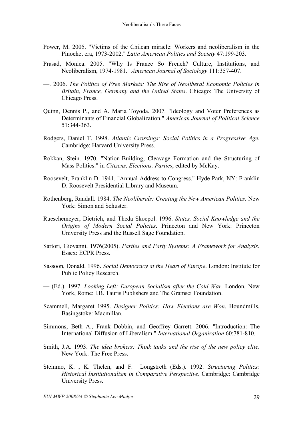- Power, M. 2005. "Victims of the Chilean miracle: Workers and neoliberalism in the Pinochet era, 1973-2002." *Latin American Politics and Society* 47:199-203.
- Prasad, Monica. 2005. "Why Is France So French? Culture, Institutions, and Neoliberalism, 1974-1981." *American Journal of Sociology* 111:357-407.
- —. 2006. *The Politics of Free Markets: The Rise of Neoliberal Economic Policies in Britain, France, Germany and the United States*. Chicago: The University of Chicago Press.
- Quinn, Dennis P., and A. Maria Toyoda. 2007. "Ideology and Voter Preferences as Determinants of Financial Globalization." *American Journal of Political Science* 51:344-363.
- Rodgers, Daniel T. 1998. *Atlantic Crossings: Social Politics in a Progressive Age*. Cambridge: Harvard University Press.
- Rokkan, Stein. 1970. "Nation-Building, Cleavage Formation and the Structuring of Mass Politics." in *Citizens, Elections, Parties*, edited by McKay.
- Roosevelt, Franklin D. 1941. "Annual Address to Congress." Hyde Park, NY: Franklin D. Roosevelt Presidential Library and Museum.
- Rothenberg, Randall. 1984. *The Neoliberals: Creating the New American Politics*. New York: Simon and Schuster.
- Rueschemeyer, Dietrich, and Theda Skocpol. 1996. *States, Social Knowledge and the Origins of Modern Social Policies*. Princeton and New York: Princeton University Press and the Russell Sage Foundation.
- Sartori, Giovanni. 1976(2005). *Parties and Party Systems: A Framework for Analysis*. Essex: ECPR Press.
- Sassoon, Donald. 1996. *Social Democracy at the Heart of Europe*. London: Institute for Public Policy Research.
- (Ed.). 1997. *Looking Left: European Socialism after the Cold War*. London, New York, Rome: I.B. Tauris Publishers and The Gramsci Foundation.
- Scammell, Margaret 1995. *Designer Politics: How Elections are Won*. Houndmills, Basingstoke: Macmillan.
- Simmons, Beth A., Frank Dobbin, and Geoffrey Garrett. 2006. "Introduction: The International Diffusion of Liberalism." *International Organization* 60:781-810.
- Smith, J.A. 1993. *The idea brokers: Think tanks and the rise of the new policy elite*. New York: The Free Press.
- Steinmo, K. , K. Thelen, and F. Longstreth (Eds.). 1992. *Structuring Politics: Historical Institutionalism in Comparative Perspective*. Cambridge: Cambridge University Press.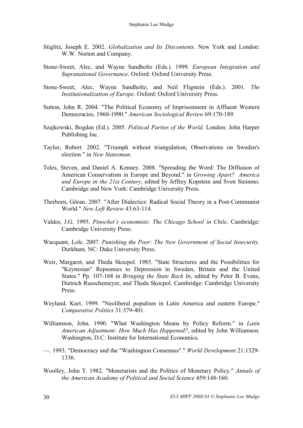- Stiglitz, Joseph E. 2002. *Globalization and Its Discontents*. New York and London: W.W. Norton and Company.
- Stone-Sweet, Alec, and Wayne Sandholtz (Eds.). 1999. *European Integration and Supranational Governance*. Oxford: Oxford University Press.
- Stone-Sweet, Alec, Wayne Sandholtz, and Neil Fligstein (Eds.). 2001. *The Institutionalization of Europe*. Oxford: Oxford University Press.
- Sutton, John R. 2004. "The Political Economy of Imprisonment in Affluent Western Democracies, 1960-1990." *American Sociological Review* 69:170-189.
- Szajkowski, Bogdan (Ed.). 2005. *Political Parties of the World*. London: John Harper Publishing Inc.
- Taylor, Robert. 2002. "Triumph without triangulation; Observations on Sweden's election " in *New Statesman*.
- Teles, Steven, and Daniel A. Kenney. 2008. "Spreading the Word: The Diffusion of American Conservatism in Europe and Beyond." in *Growing Apart? America and Europe in the 21st Century*, edited by Jeffrey Kopstein and Sven Steinmo. Cambridge and New York: Cambridge University Press.
- Therborn, Göran. 2007. "After Dialectics: Radical Social Theory in a Post-Communist World." *New Left Review* 43:63-114.
- Valdes, J.G. 1995. *Pinochet's economists: The Chicago School in Chile*. Cambridge: Cambridge University Press.
- Wacquant, Loïc. 2007. *Punishing the Poor: The New Government of Social Insecurity*. Durkham, NC: Duke University Press.
- Weir, Margaret, and Theda Skocpol. 1985. "State Structures and the Possibilities for "Keynesian" Repsonses to Depression in Sweden, Britain and the United States." Pp. 107-168 in *Bringing the State Back In*, edited by Peter B. Evans, Dietrich Rueschemeyer, and Theda Skocpol. Cambridge: Cambridge University Press.
- Weyland, Kurt. 1999. "Neoliberal populism in Latin America and eastern Europe." *Comparative Politics* 31:379-401.
- Williamson, John. 1990. "What Washington Means by Policy Reform." in *Latin American Adjustment: How Much Has Happened?*, edited by John Williamson. Washington, D.C: Institute for International Economics.
- —. 1993. "Democracy and the "Washington Consensus"." *World Development* 21:1329- 1336.
- Woolley, John T. 1982. "Monetarists and the Politics of Monetary Policy." *Annals of the American Academy of Political and Social Science* 459:148-160.